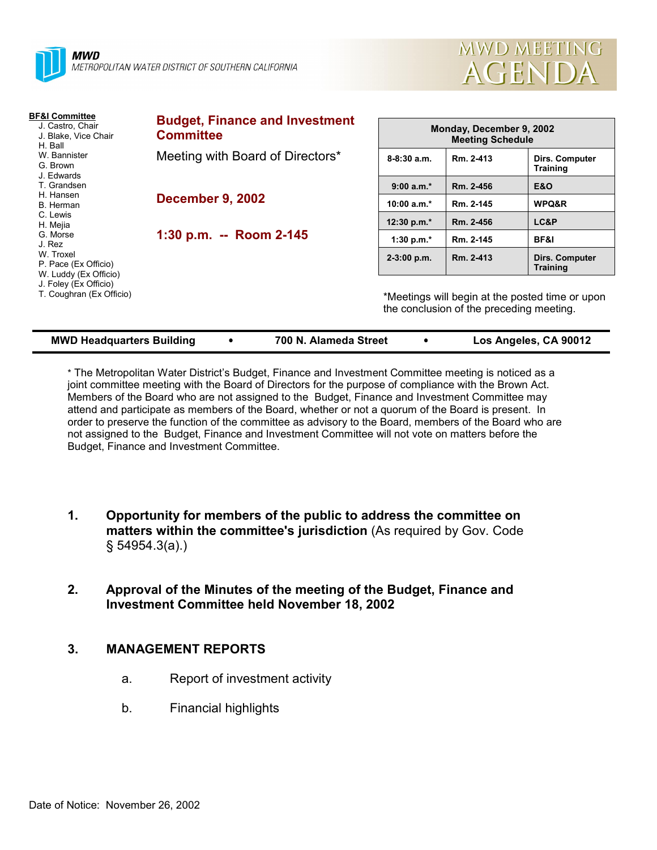



| <b>BF&amp;I Committee</b><br>J. Castro, Chair<br>J. Blake, Vice Chair<br>H. Ball<br>W. Bannister<br>G. Brown<br>J. Edwards<br>T. Grandsen<br>H. Hansen<br>B. Herman<br>C. Lewis<br>H. Mejia<br>G. Morse<br>J. Rez<br>W. Troxel<br>P. Pace (Ex Officio)<br>W. Luddy (Ex Officio)<br>J. Foley (Ex Officio)<br>T. Coughran (Ex Officio) | <b>Budget, Finance and Investment</b><br><b>Committee</b> | Monday, December 9, 2002<br><b>Meeting Schedule</b>                                         |           |                                   |
|--------------------------------------------------------------------------------------------------------------------------------------------------------------------------------------------------------------------------------------------------------------------------------------------------------------------------------------|-----------------------------------------------------------|---------------------------------------------------------------------------------------------|-----------|-----------------------------------|
|                                                                                                                                                                                                                                                                                                                                      | Meeting with Board of Directors*                          | $8 - 8:30$ a.m.                                                                             | Rm. 2-413 | Dirs. Computer<br><b>Training</b> |
|                                                                                                                                                                                                                                                                                                                                      |                                                           | $9:00 a.m.*$                                                                                | Rm. 2-456 | <b>E&amp;O</b>                    |
|                                                                                                                                                                                                                                                                                                                                      | <b>December 9, 2002</b>                                   | 10:00 $a.m.*$                                                                               | Rm. 2-145 | WPQ&R                             |
|                                                                                                                                                                                                                                                                                                                                      |                                                           | 12:30 p.m.*                                                                                 | Rm. 2-456 | LC&P                              |
|                                                                                                                                                                                                                                                                                                                                      | 1:30 p.m. -- Room 2-145                                   | 1:30 p.m. $*$                                                                               | Rm. 2-145 | BF&I                              |
|                                                                                                                                                                                                                                                                                                                                      |                                                           | $2-3:00$ p.m.                                                                               | Rm. 2-413 | Dirs. Computer<br><b>Training</b> |
|                                                                                                                                                                                                                                                                                                                                      |                                                           | *Meetings will begin at the posted time or upon<br>the conclusion of the preceding meeting. |           |                                   |

| * The Metropolitan Water District's Budget, Finance and Investment Committee meeting is noticed as a  |
|-------------------------------------------------------------------------------------------------------|
| joint committee meeting with the Board of Directors for the purpose of compliance with the Brown Act. |
| Members of the Board who are not assigned to the Budget, Finance and Investment Committee may         |

**MWD Headquarters Building** ! **700 N. Alameda Street** ! **Los Angeles, CA 90012**

Members of the Board who are not assigned to the Budget, Finance and Investment Committee may attend and participate as members of the Board, whether or not a quorum of the Board is present. In order to preserve the function of the committee as advisory to the Board, members of the Board who are not assigned to the Budget, Finance and Investment Committee will not vote on matters before the Budget, Finance and Investment Committee.

- **1. Opportunity for members of the public to address the committee on matters within the committee's jurisdiction** (As required by Gov. Code ß 54954.3(a).)
- **2. Approval of the Minutes of the meeting of the Budget, Finance and Investment Committee held November 18, 2002**

# **3. MANAGEMENT REPORTS**

- a. Report of investment activity
- b. Financial highlights